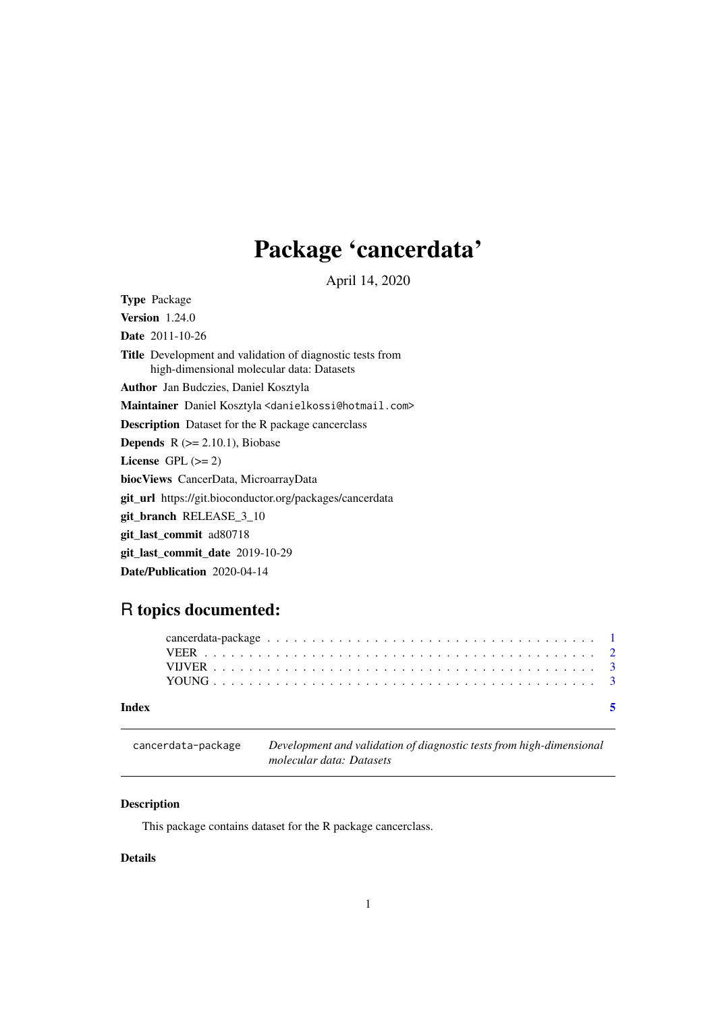# <span id="page-0-0"></span>Package 'cancerdata'

April 14, 2020

Type Package

**Version** 1.24.0

Date 2011-10-26

Title Development and validation of diagnostic tests from high-dimensional molecular data: Datasets

Author Jan Budczies, Daniel Kosztyla

Maintainer Daniel Kosztyla <danielkossi@hotmail.com>

Description Dataset for the R package cancerclass

**Depends**  $R$  ( $>= 2.10.1$ ), Biobase

License GPL  $(>= 2)$ 

biocViews CancerData, MicroarrayData

git\_url https://git.bioconductor.org/packages/cancerdata

git\_branch RELEASE\_3\_10

git\_last\_commit ad80718

git\_last\_commit\_date 2019-10-29

Date/Publication 2020-04-14

# R topics documented:

#### **Index** [5](#page-4-0). The second state of the second state of the second state of the second state of the second state of the second state of the second state of the second state of the second state of the second state of the second

cancerdata-package *Development and validation of diagnostic tests from high-dimensional molecular data: Datasets*

## Description

This package contains dataset for the R package cancerclass.

#### Details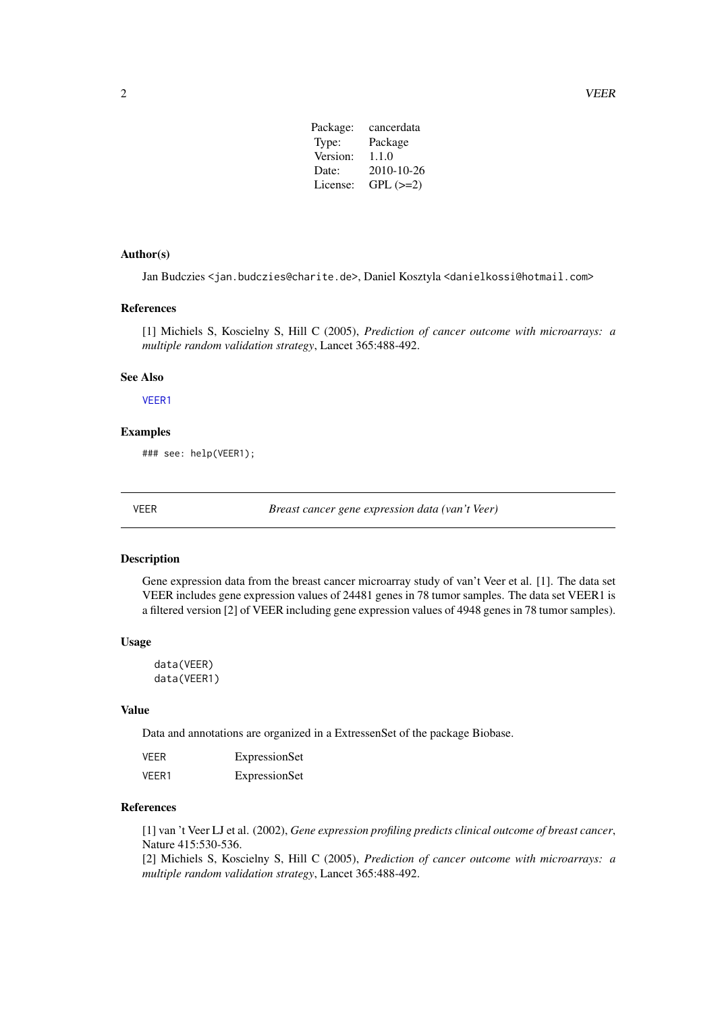| Package: | cancerdata |
|----------|------------|
| Type:    | Package    |
| Version: | 1.1.0      |
| Date:    | 2010-10-26 |
| License: | $GPL (=2)$ |
|          |            |

# <span id="page-1-0"></span>Author(s)

Jan Budczies <jan.budczies@charite.de>, Daniel Kosztyla <danielkossi@hotmail.com>

#### References

[1] Michiels S, Koscielny S, Hill C (2005), *Prediction of cancer outcome with microarrays: a multiple random validation strategy*, Lancet 365:488-492.

#### See Also

[VEER1](#page-1-1)

#### Examples

### see: help(VEER1);

VEER *Breast cancer gene expression data (van't Veer)*

#### <span id="page-1-1"></span>Description

Gene expression data from the breast cancer microarray study of van't Veer et al. [1]. The data set VEER includes gene expression values of 24481 genes in 78 tumor samples. The data set VEER1 is a filtered version [2] of VEER including gene expression values of 4948 genes in 78 tumor samples).

#### Usage

data(VEER) data(VEER1)

#### Value

Data and annotations are organized in a ExtressenSet of the package Biobase.

| <b>VEER</b> | ExpressionSet |
|-------------|---------------|
| VEER1       | ExpressionSet |

#### References

[1] van 't Veer LJ et al. (2002), *Gene expression profiling predicts clinical outcome of breast cancer*, Nature 415:530-536.

[2] Michiels S, Koscielny S, Hill C (2005), *Prediction of cancer outcome with microarrays: a multiple random validation strategy*, Lancet 365:488-492.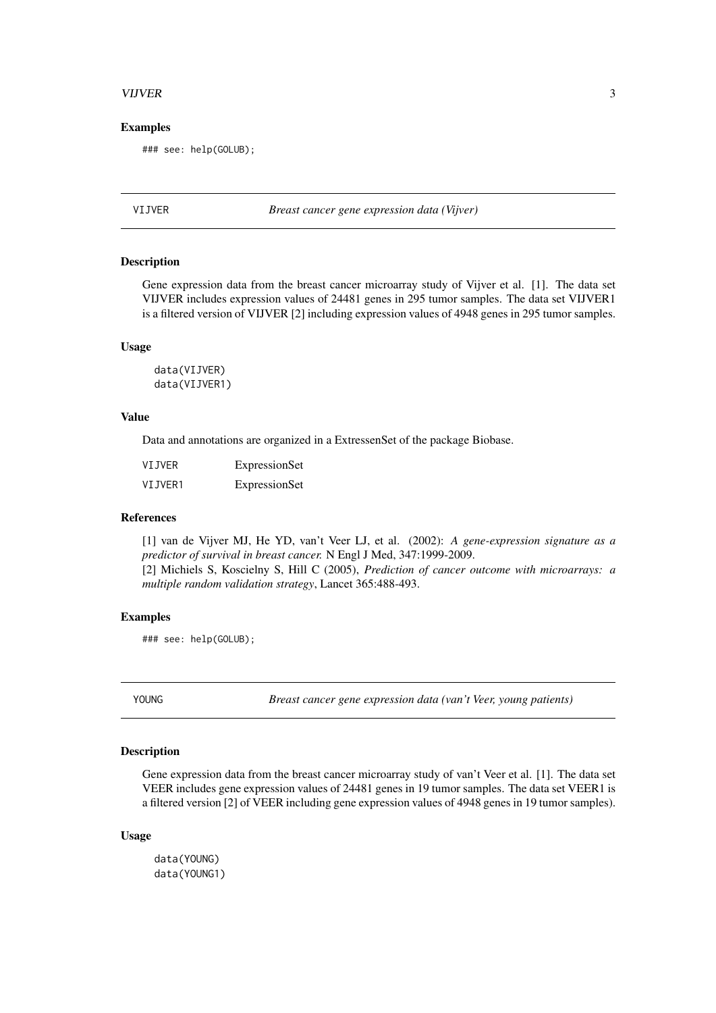#### <span id="page-2-0"></span>VIJVER 3

#### Examples

### see: help(GOLUB);

VIJVER *Breast cancer gene expression data (Vijver)*

#### Description

Gene expression data from the breast cancer microarray study of Vijver et al. [1]. The data set VIJVER includes expression values of 24481 genes in 295 tumor samples. The data set VIJVER1 is a filtered version of VIJVER [2] including expression values of 4948 genes in 295 tumor samples.

#### Usage

data(VIJVER) data(VIJVER1)

#### Value

Data and annotations are organized in a ExtressenSet of the package Biobase.

| VIJVER  | ExpressionSet |
|---------|---------------|
| VIJVER1 | ExpressionSet |

#### References

[1] van de Vijver MJ, He YD, van't Veer LJ, et al. (2002): *A gene-expression signature as a predictor of survival in breast cancer.* N Engl J Med, 347:1999-2009. [2] Michiels S, Koscielny S, Hill C (2005), *Prediction of cancer outcome with microarrays: a multiple random validation strategy*, Lancet 365:488-493.

#### Examples

### see: help(GOLUB);

YOUNG *Breast cancer gene expression data (van't Veer, young patients)*

#### Description

Gene expression data from the breast cancer microarray study of van't Veer et al. [1]. The data set VEER includes gene expression values of 24481 genes in 19 tumor samples. The data set VEER1 is a filtered version [2] of VEER including gene expression values of 4948 genes in 19 tumor samples).

#### Usage

data(YOUNG) data(YOUNG1)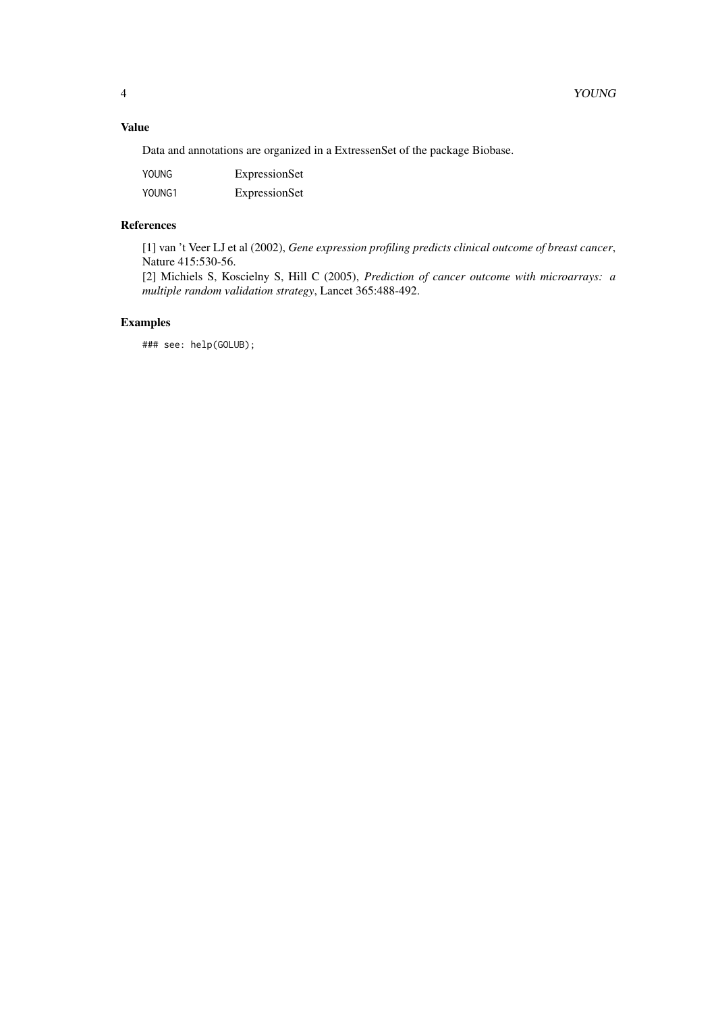# Value

Data and annotations are organized in a ExtressenSet of the package Biobase.

| YOUNG  | ExpressionSet |
|--------|---------------|
| YOUNG1 | ExpressionSet |

# References

[1] van 't Veer LJ et al (2002), *Gene expression profiling predicts clinical outcome of breast cancer*, Nature 415:530-56.

[2] Michiels S, Koscielny S, Hill C (2005), *Prediction of cancer outcome with microarrays: a multiple random validation strategy*, Lancet 365:488-492.

# Examples

### see: help(GOLUB);